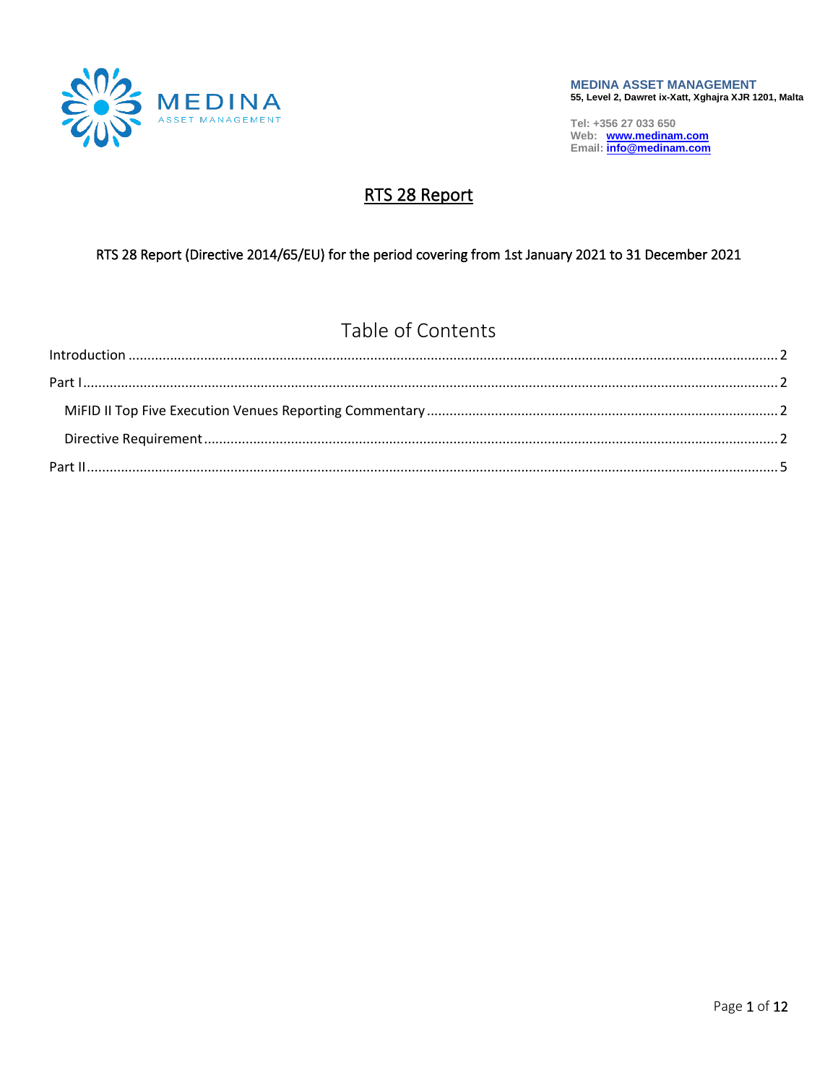

# RTS 28 Report

#### RTS 28 Report (Directive 2014/65/EU) for the period covering from 1st January 2021 to 31 December 2021

# Table of Contents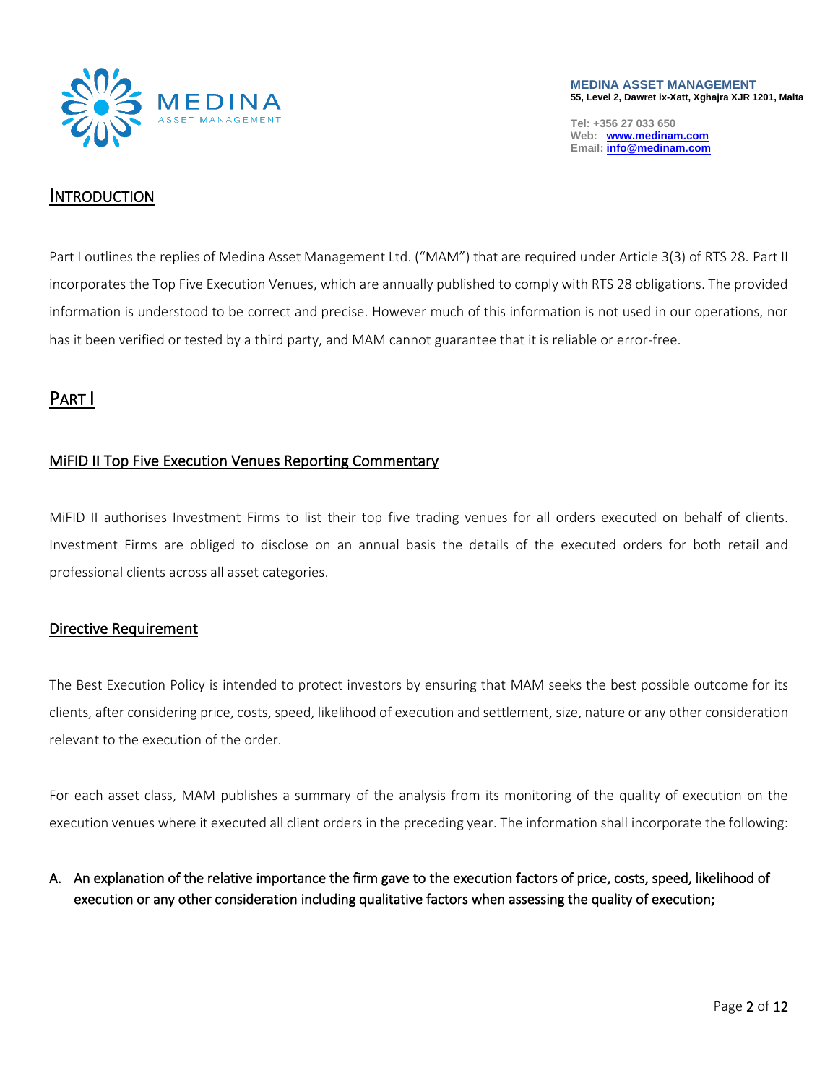

**MEDINA ASSET MANAGEMENT 55, Level 2, Dawret ix-Xatt, Xghajra XJR 1201, Malta**

**Tel: +356 27 033 650 Web: [www.medinam.com](http://www.medinam.com/) Email[: info@medinam.com](mailto:info@medinam.com)**

#### <span id="page-1-0"></span>**INTRODUCTION**

Part I outlines the replies of Medina Asset Management Ltd. ("MAM") that are required under Article 3(3) of RTS 28. Part II incorporates the Top Five Execution Venues, which are annually published to comply with RTS 28 obligations. The provided information is understood to be correct and precise. However much of this information is not used in our operations, nor has it been verified or tested by a third party, and MAM cannot guarantee that it is reliable or error-free.

## <span id="page-1-1"></span>PART I

#### <span id="page-1-2"></span>MiFID II Top Five Execution Venues Reporting Commentary

MiFID II authorises Investment Firms to list their top five trading venues for all orders executed on behalf of clients. Investment Firms are obliged to disclose on an annual basis the details of the executed orders for both retail and professional clients across all asset categories.

#### <span id="page-1-3"></span>Directive Requirement

The Best Execution Policy is intended to protect investors by ensuring that MAM seeks the best possible outcome for its clients, after considering price, costs, speed, likelihood of execution and settlement, size, nature or any other consideration relevant to the execution of the order.

For each asset class, MAM publishes a summary of the analysis from its monitoring of the quality of execution on the execution venues where it executed all client orders in the preceding year. The information shall incorporate the following:

#### A. An explanation of the relative importance the firm gave to the execution factors of price, costs, speed, likelihood of execution or any other consideration including qualitative factors when assessing the quality of execution;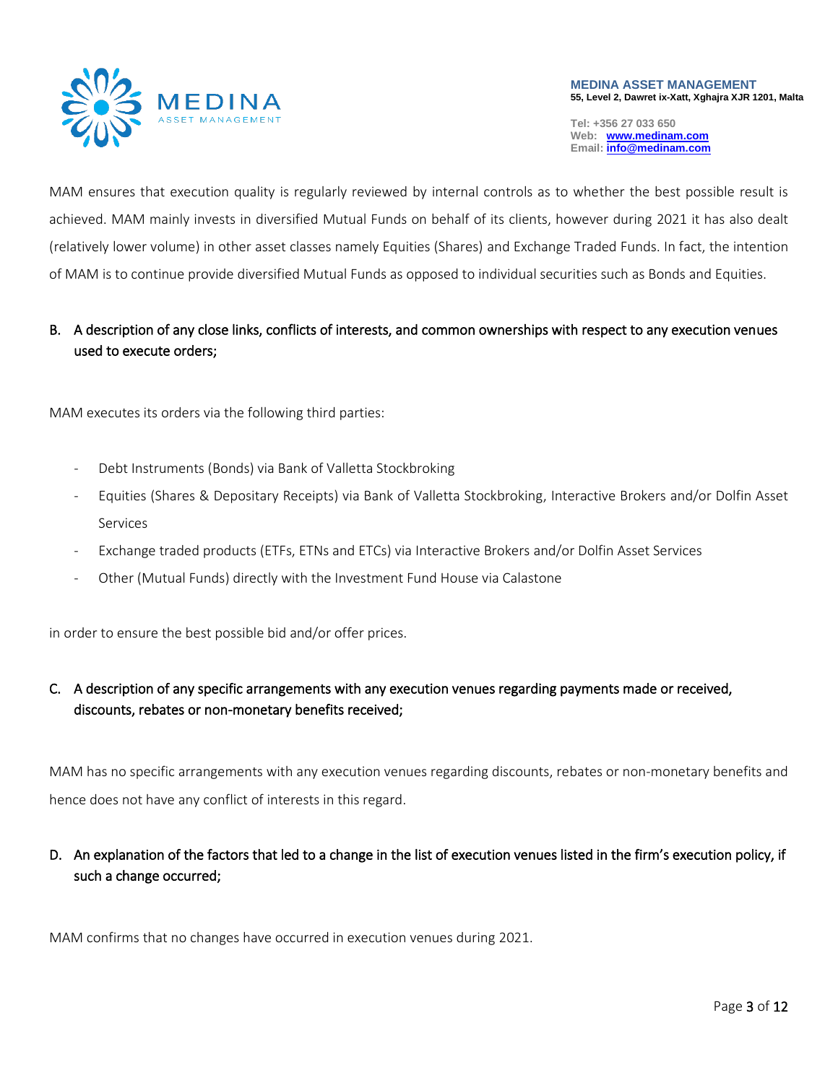

#### **MEDINA ASSET MANAGEMENT 55, Level 2, Dawret ix-Xatt, Xghajra XJR 1201, Malta**

**Tel: +356 27 033 650 Web: [www.medinam.com](http://www.medinam.com/) Email[: info@medinam.com](mailto:info@medinam.com)**

MAM ensures that execution quality is regularly reviewed by internal controls as to whether the best possible result is achieved. MAM mainly invests in diversified Mutual Funds on behalf of its clients, however during 2021 it has also dealt (relatively lower volume) in other asset classes namely Equities (Shares) and Exchange Traded Funds. In fact, the intention of MAM is to continue provide diversified Mutual Funds as opposed to individual securities such as Bonds and Equities.

### B. A description of any close links, conflicts of interests, and common ownerships with respect to any execution venues used to execute orders;

MAM executes its orders via the following third parties:

- Debt Instruments (Bonds) via Bank of Valletta Stockbroking
- Equities (Shares & Depositary Receipts) via Bank of Valletta Stockbroking, Interactive Brokers and/or Dolfin Asset Services
- Exchange traded products (ETFs, ETNs and ETCs) via Interactive Brokers and/or Dolfin Asset Services
- Other (Mutual Funds) directly with the Investment Fund House via Calastone

in order to ensure the best possible bid and/or offer prices.

#### C. A description of any specific arrangements with any execution venues regarding payments made or received, discounts, rebates or non-monetary benefits received;

MAM has no specific arrangements with any execution venues regarding discounts, rebates or non-monetary benefits and hence does not have any conflict of interests in this regard.

#### D. An explanation of the factors that led to a change in the list of execution venues listed in the firm's execution policy, if such a change occurred;

MAM confirms that no changes have occurred in execution venues during 2021.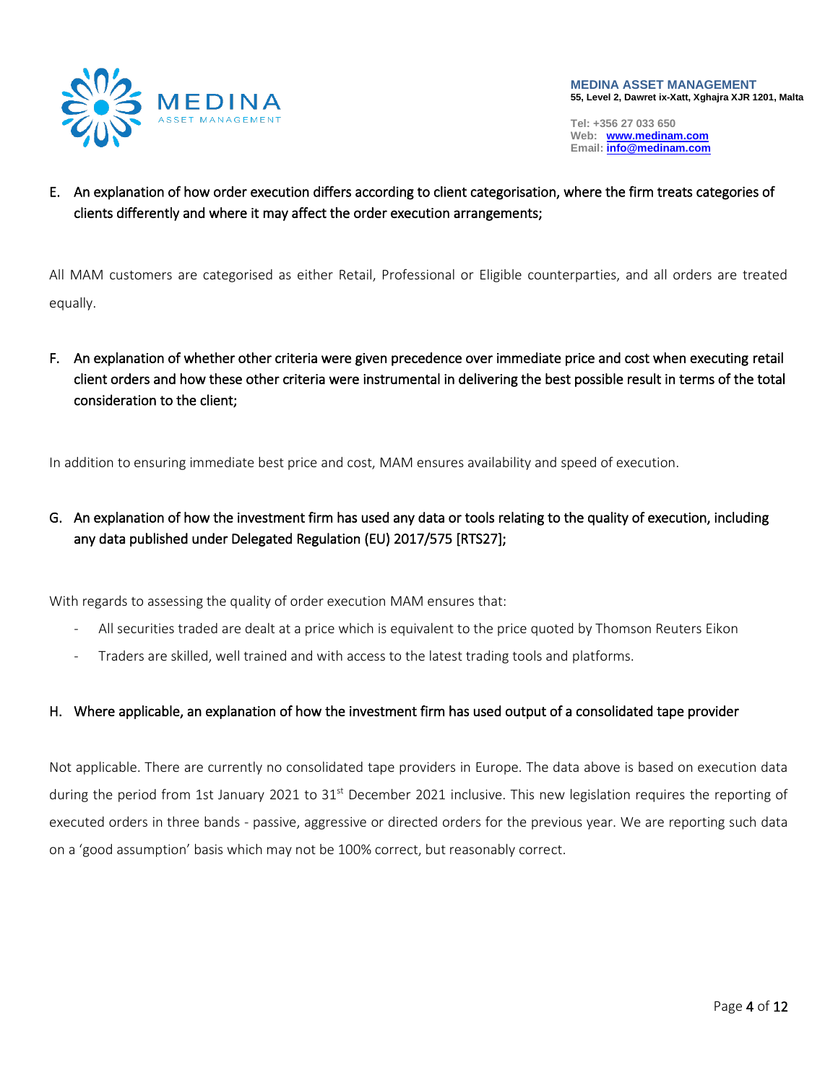

E. An explanation of how order execution differs according to client categorisation, where the firm treats categories of clients differently and where it may affect the order execution arrangements;

All MAM customers are categorised as either Retail, Professional or Eligible counterparties, and all orders are treated equally.

F. An explanation of whether other criteria were given precedence over immediate price and cost when executing retail client orders and how these other criteria were instrumental in delivering the best possible result in terms of the total consideration to the client;

In addition to ensuring immediate best price and cost, MAM ensures availability and speed of execution.

G. An explanation of how the investment firm has used any data or tools relating to the quality of execution, including any data published under Delegated Regulation (EU) 2017/575 [RTS27];

With regards to assessing the quality of order execution MAM ensures that:

- All securities traded are dealt at a price which is equivalent to the price quoted by Thomson Reuters Eikon
- Traders are skilled, well trained and with access to the latest trading tools and platforms.

#### H. Where applicable, an explanation of how the investment firm has used output of a consolidated tape provider

Not applicable. There are currently no consolidated tape providers in Europe. The data above is based on execution data during the period from 1st January 2021 to 31<sup>st</sup> December 2021 inclusive. This new legislation requires the reporting of executed orders in three bands - passive, aggressive or directed orders for the previous year. We are reporting such data on a 'good assumption' basis which may not be 100% correct, but reasonably correct.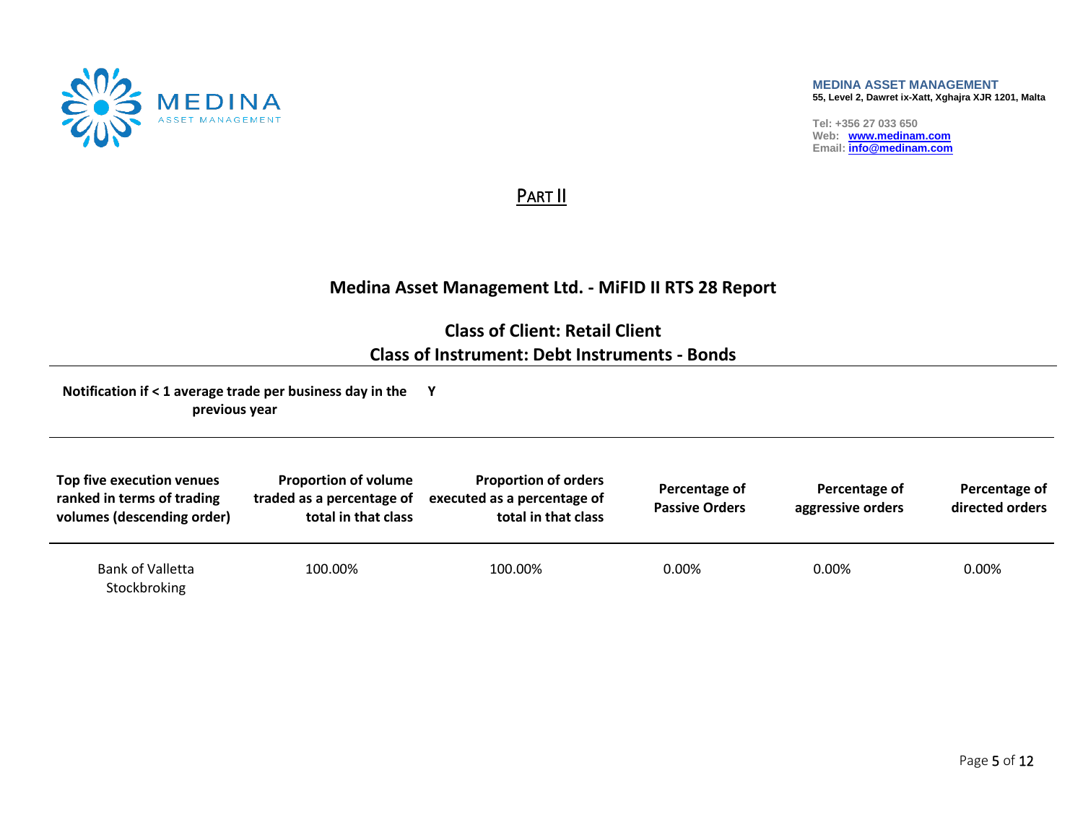

#### **MEDINA ASSET MANAGEMENT 55, Level 2, Dawret ix-Xatt, Xghajra XJR 1201, Malta**

**Tel: +356 27 033 650 Web: [www.medinam.com](http://www.medinam.com/) Email[: info@medinam.com](mailto:info@medinam.com)**

PART II

## **Medina Asset Management Ltd. - MiFID II RTS 28 Report**

**Class of Client: Retail Client Class of Instrument: Debt Instruments - Bonds**

<span id="page-4-0"></span>

| Top five execution venues<br>ranked in terms of trading<br>volumes (descending order) | <b>Proportion of volume</b><br>traded as a percentage of<br>total in that class | <b>Proportion of orders</b><br>executed as a percentage of<br>total in that class | Percentage of<br><b>Passive Orders</b> | Percentage of<br>aggressive orders | Percentage of<br>directed orders |
|---------------------------------------------------------------------------------------|---------------------------------------------------------------------------------|-----------------------------------------------------------------------------------|----------------------------------------|------------------------------------|----------------------------------|
| Bank of Valletta<br>Stockbroking                                                      | 100.00%                                                                         | 100.00%                                                                           | $0.00\%$                               | 0.00%                              | 0.00%                            |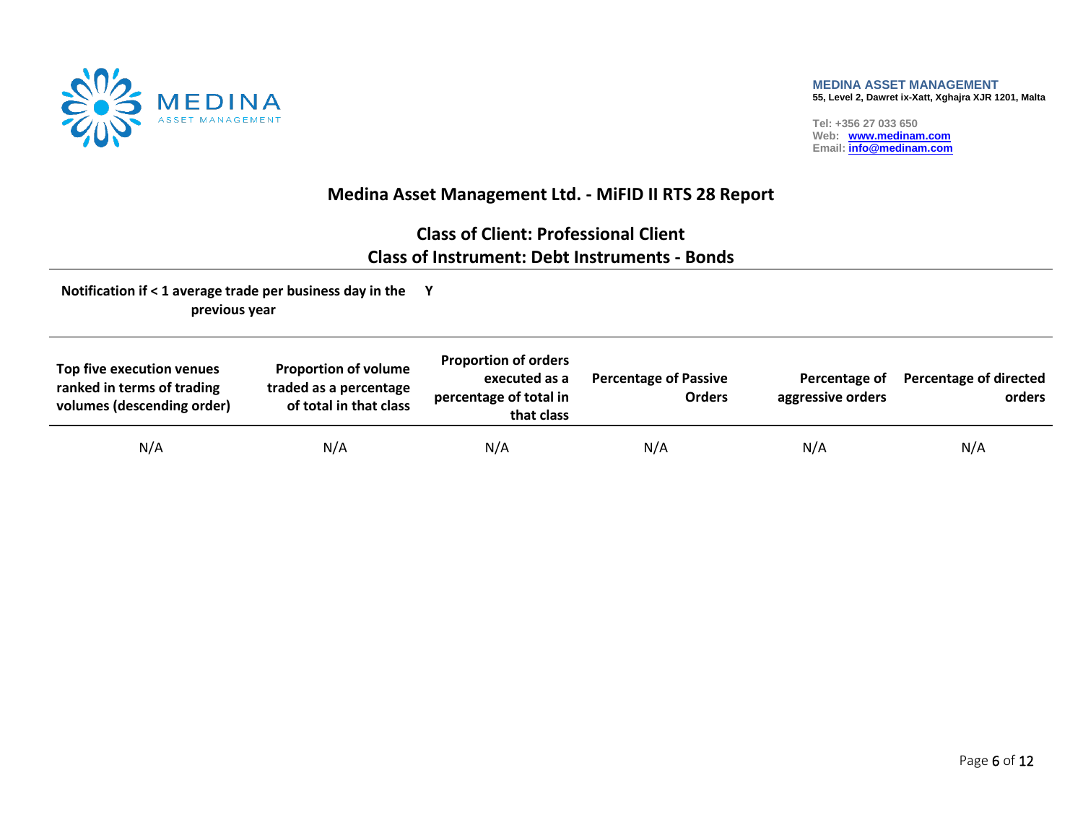

## **Medina Asset Management Ltd. - MiFID II RTS 28 Report**

# **Class of Client: Professional Client Class of Instrument: Debt Instruments - Bonds**

| Top five execution venues<br>ranked in terms of trading<br>volumes (descending order) | <b>Proportion of volume</b><br>traded as a percentage<br>of total in that class | <b>Proportion of orders</b><br>executed as a<br>percentage of total in<br>that class | <b>Percentage of Passive</b><br><b>Orders</b> | Percentage of<br>aggressive orders | <b>Percentage of directed</b><br>orders |
|---------------------------------------------------------------------------------------|---------------------------------------------------------------------------------|--------------------------------------------------------------------------------------|-----------------------------------------------|------------------------------------|-----------------------------------------|
| N/A                                                                                   | N/A                                                                             | N/A                                                                                  | N/A                                           | N/A                                | N/A                                     |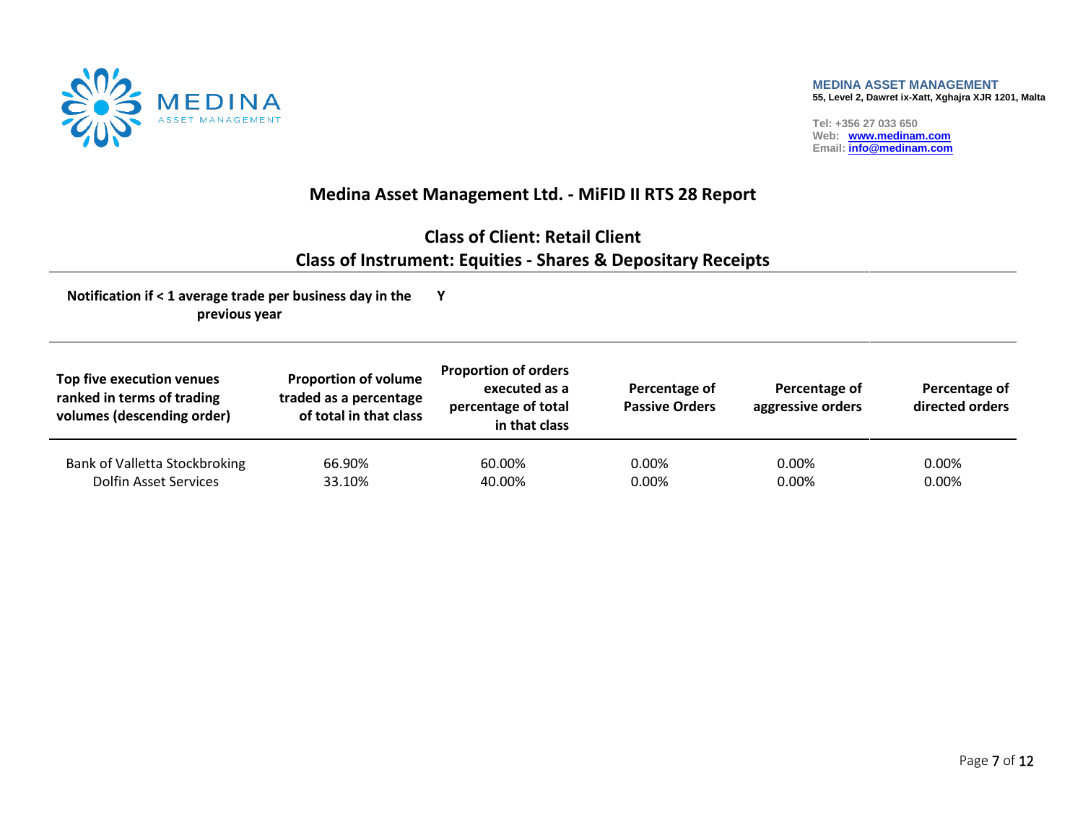

## **Medina Asset Management Ltd. - MiFID II RTS 28 Report**

# **Class of Client: Retail Client Class of Instrument: Equities - Shares & Depositary Receipts**

| Top five execution venues<br>ranked in terms of trading<br>volumes (descending order) | <b>Proportion of volume</b><br>traded as a percentage<br>of total in that class | <b>Proportion of orders</b><br>executed as a<br>percentage of total<br>in that class | Percentage of<br><b>Passive Orders</b> | Percentage of<br>aggressive orders | Percentage of<br>directed orders |
|---------------------------------------------------------------------------------------|---------------------------------------------------------------------------------|--------------------------------------------------------------------------------------|----------------------------------------|------------------------------------|----------------------------------|
| Bank of Valletta Stockbroking                                                         | 66.90%                                                                          | 60.00%                                                                               | $0.00\%$                               | $0.00\%$                           | 0.00%                            |
| <b>Dolfin Asset Services</b>                                                          | 33.10%                                                                          | 40.00%                                                                               | $0.00\%$                               | $0.00\%$                           | 0.00%                            |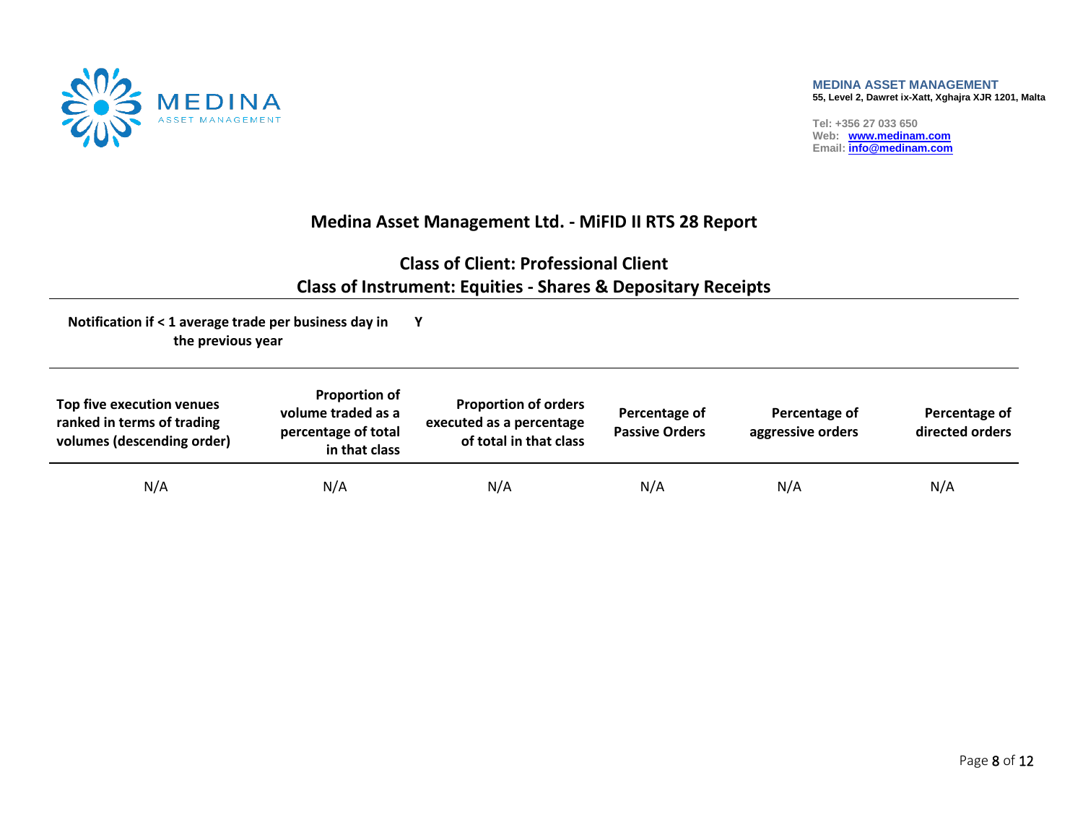

## **Medina Asset Management Ltd. - MiFID II RTS 28 Report**

# **Class of Client: Professional Client Class of Instrument: Equities - Shares & Depositary Receipts**

| Top five execution venues<br>ranked in terms of trading<br>volumes (descending order) | <b>Proportion of</b><br>volume traded as a<br>percentage of total<br>in that class | <b>Proportion of orders</b><br>executed as a percentage<br>of total in that class | Percentage of<br><b>Passive Orders</b> | Percentage of<br>aggressive orders | Percentage of<br>directed orders |
|---------------------------------------------------------------------------------------|------------------------------------------------------------------------------------|-----------------------------------------------------------------------------------|----------------------------------------|------------------------------------|----------------------------------|
| N/A                                                                                   | N/A                                                                                | N/A                                                                               | N/A                                    | N/A                                | N/A                              |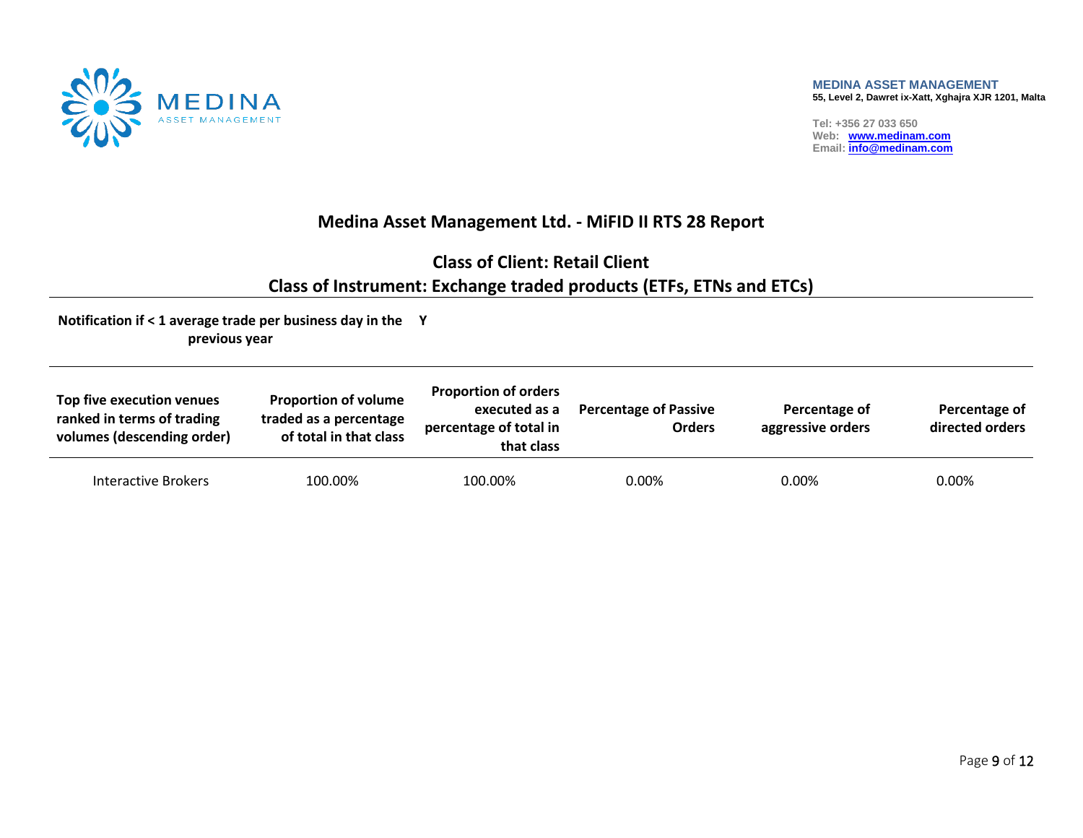

## **Medina Asset Management Ltd. - MiFID II RTS 28 Report**

# **Class of Client: Retail Client Class of Instrument: Exchange traded products (ETFs, ETNs and ETCs)**

| Top five execution venues<br>ranked in terms of trading<br>volumes (descending order) | <b>Proportion of volume</b><br>traded as a percentage<br>of total in that class | <b>Proportion of orders</b><br>executed as a<br>percentage of total in<br>that class | <b>Percentage of Passive</b><br><b>Orders</b> | Percentage of<br>aggressive orders | Percentage of<br>directed orders |
|---------------------------------------------------------------------------------------|---------------------------------------------------------------------------------|--------------------------------------------------------------------------------------|-----------------------------------------------|------------------------------------|----------------------------------|
| Interactive Brokers                                                                   | 100.00%                                                                         | 100.00%                                                                              | 0.00%                                         | 0.00%                              | 0.00%                            |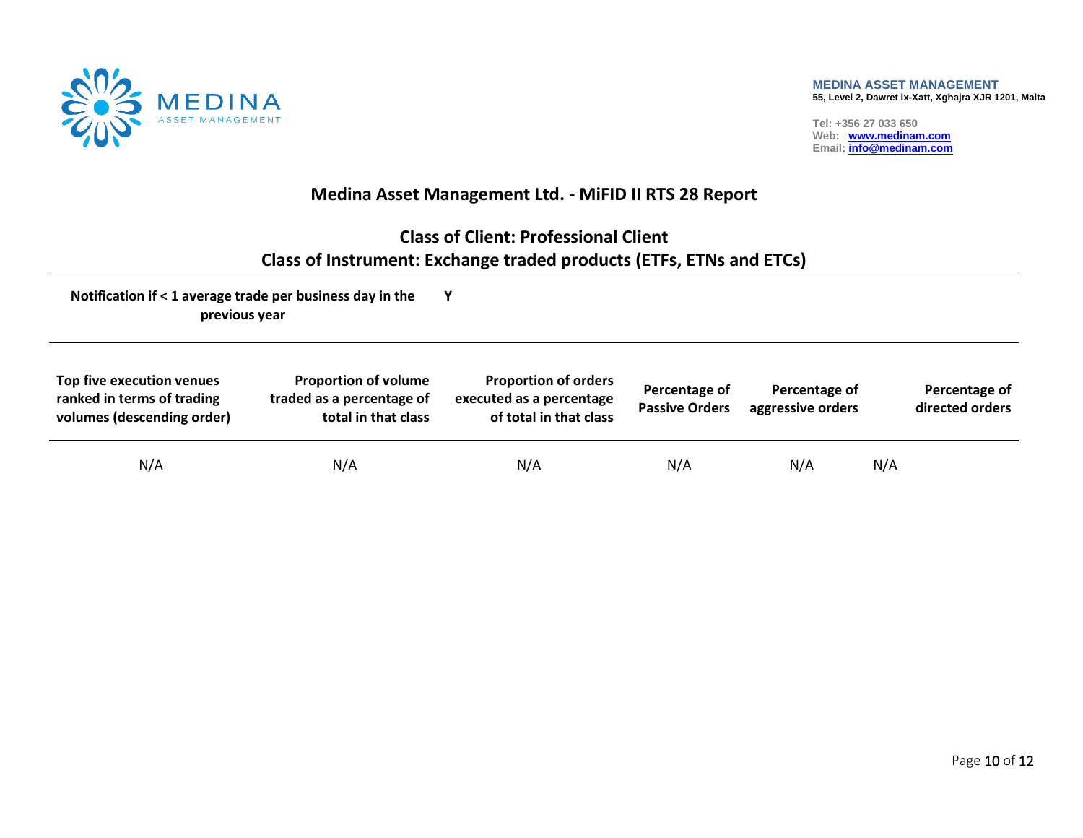

## **Medina Asset Management Ltd. - MiFID II RTS 28 Report**

# **Class of Client: Professional Client Class of Instrument: Exchange traded products (ETFs, ETNs and ETCs)**

| Top five execution venues<br>ranked in terms of trading<br>volumes (descending order) | <b>Proportion of volume</b><br>traded as a percentage of<br>total in that class | <b>Proportion of orders</b><br>executed as a percentage<br>of total in that class | Percentage of<br><b>Passive Orders</b> | Percentage of<br>aggressive orders |     | Percentage of<br>directed orders |
|---------------------------------------------------------------------------------------|---------------------------------------------------------------------------------|-----------------------------------------------------------------------------------|----------------------------------------|------------------------------------|-----|----------------------------------|
| N/A                                                                                   | N/A                                                                             | N/A                                                                               | N/A                                    | N/A                                | N/A |                                  |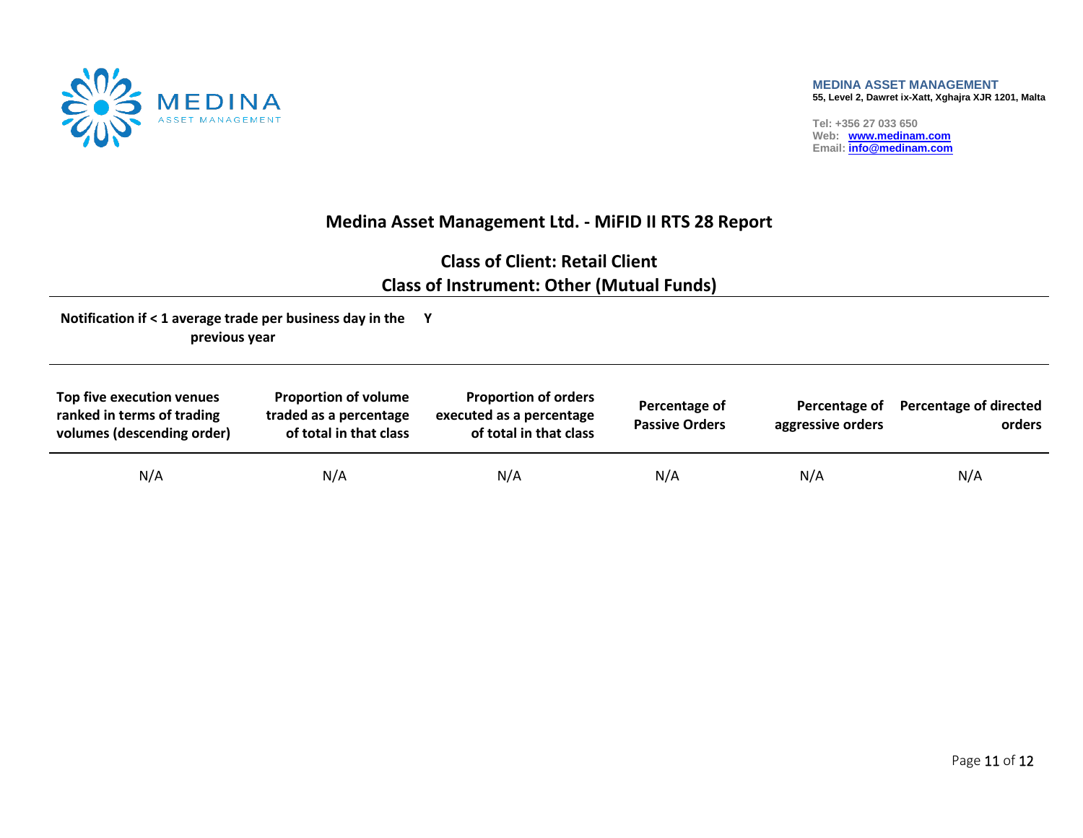

## **Medina Asset Management Ltd. - MiFID II RTS 28 Report**

# **Class of Client: Retail Client Class of Instrument: Other (Mutual Funds)**

| Top five execution venues<br>ranked in terms of trading<br>volumes (descending order) | <b>Proportion of volume</b><br>traded as a percentage<br>of total in that class | <b>Proportion of orders</b><br>executed as a percentage<br>of total in that class | Percentage of<br><b>Passive Orders</b> | Percentage of<br>aggressive orders | <b>Percentage of directed</b><br>orders |
|---------------------------------------------------------------------------------------|---------------------------------------------------------------------------------|-----------------------------------------------------------------------------------|----------------------------------------|------------------------------------|-----------------------------------------|
| N/A                                                                                   | N/A                                                                             | N/A                                                                               | N/A                                    | N/A                                | N/A                                     |